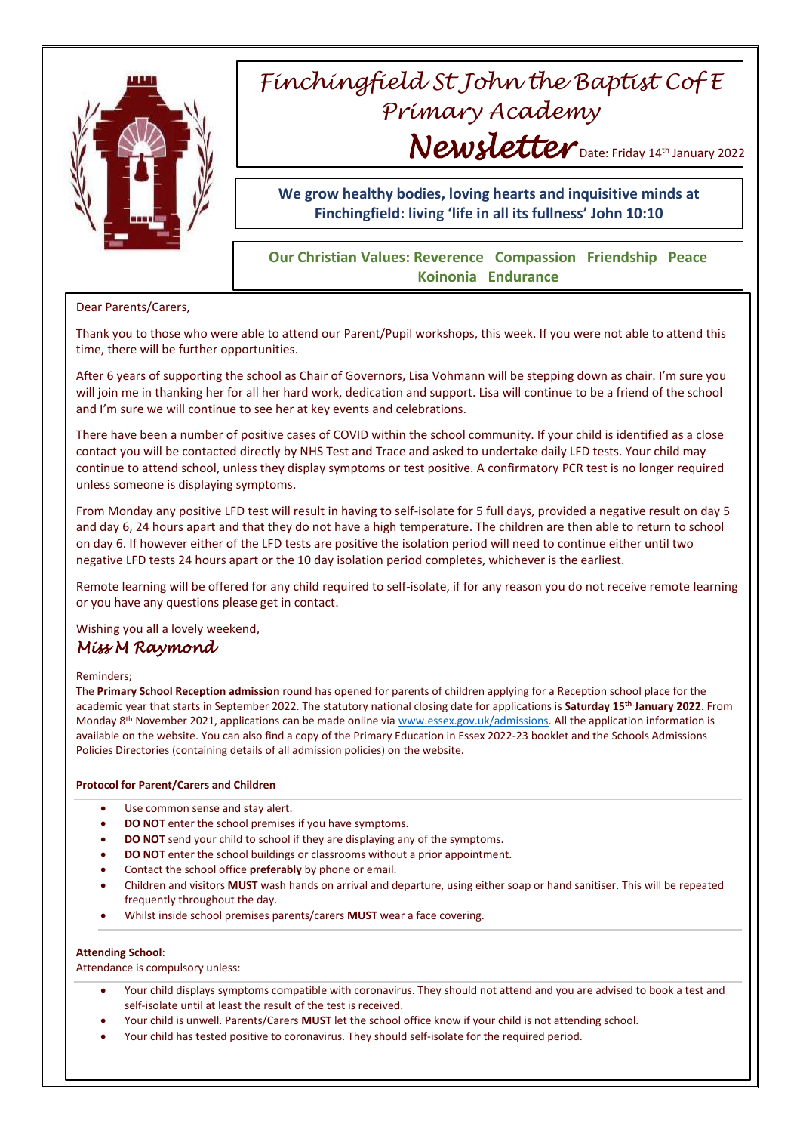

# *Finchingfield St John the Baptist Cof E Primary Academy Newsletter* Date: Friday 14th January 2022

**We grow healthy bodies, loving hearts and inquisitive minds at Finchingfield: living 'life in all its fullness' John 10:10**

### **Our Christian Values: Reverence Compassion Friendship Peace Koinonia Endurance**

### Dear Parents/Carers,

Thank you to those who were able to attend our Parent/Pupil workshops, this week. If you were not able to attend this time, there will be further opportunities.

After 6 years of supporting the school as Chair of Governors, Lisa Vohmann will be stepping down as chair. I'm sure you will join me in thanking her for all her hard work, dedication and support. Lisa will continue to be a friend of the school and I'm sure we will continue to see her at key events and celebrations.

There have been a number of positive cases of COVID within the school community. If your child is identified as a close contact you will be contacted directly by NHS Test and Trace and asked to undertake daily LFD tests. Your child may continue to attend school, unless they display symptoms or test positive. A confirmatory PCR test is no longer required unless someone is displaying symptoms.

From Monday any positive LFD test will result in having to self-isolate for 5 full days, provided a negative result on day 5 and day 6, 24 hours apart and that they do not have a high temperature. The children are then able to return to school on day 6. If however either of the LFD tests are positive the isolation period will need to continue either until two negative LFD tests 24 hours apart or the 10 day isolation period completes, whichever is the earliest.

Remote learning will be offered for any child required to self-isolate, if for any reason you do not receive remote learning or you have any questions please get in contact.

Wishing you all a lovely weekend,

## *Miss M Raymond*

### Reminders;

The **Primary School Reception admission** round has opened for parents of children applying for a Reception school place for the academic year that starts in September 2022. The statutory national closing date for applications is **Saturday 15th January 2022**. From Monday 8<sup>th</sup> November 2021, applications can be made online vi[a www.essex.gov.uk/admissions.](http://www.essex.gov.uk/admissions) All the application information is available on the website. You can also find a copy of the Primary Education in Essex 2022-23 booklet and the Schools Admissions Policies Directories (containing details of all admission policies) on the website.

### **Protocol for Parent/Carers and Children**

- Use common sense and stay alert.
- **DO NOT** enter the school premises if you have symptoms.
- **DO NOT** send your child to school if they are displaying any of the symptoms.
- **DO NOT** enter the school buildings or classrooms without a prior appointment.
- Contact the school office **preferably** by phone or email.
- Children and visitors **MUST** wash hands on arrival and departure, using either soap or hand sanitiser. This will be repeated frequently throughout the day.
- Whilst inside school premises parents/carers **MUST** wear a face covering.

### **Attending School**:

Attendance is compulsory unless:

- Your child displays symptoms compatible with coronavirus. They should not attend and you are advised to book a test and self-isolate until at least the result of the test is received.
- Your child is unwell. Parents/Carers **MUST** let the school office know if your child is not attending school.
- Your child has tested positive to coronavirus. They should self-isolate for the required period.